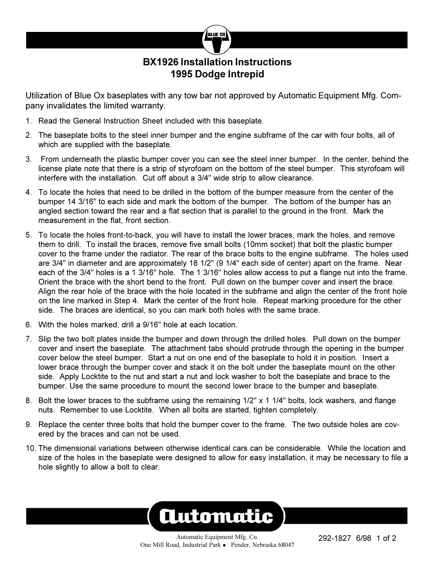

## **BX1926 Installation Instructions 1995 Dodge Intrepid**

Utilization of Blue Ox baseplates with any tow bar not approved by Automatic Equipment Mfg. Company invalidates the limited warranty.

- 1. Read the General Instruction Sheet included with this baseplate.
- 2. The baseplate bolts to the steel inner bumper and the engine subframe of the car with four bolts, all of which are supplied with the baseplate.
- 3. From underneath the plastic bumper cover you can see the steel inner bumper. In the center, behind the license plate note that there is a strip of styrofoam on the bottom of the steel bumper. This styrofoam will interfere with the installation. Cut off about a 3/4" wide strip to allow clearance.
- 4. To locate the holes that need to be drilled in the bottom of the bumper measure from the center of the bumper 14 3/16" to each side and mark the bottom of the bumper. The bottom of the bumper has an angled section toward the rear and a flat section that is parallel to the ground in the front. Mark the measurement in the flat, front section.
- 5. To locate the holes front-to-back, you will have to install the lower braces, mark the holes, and remove them to drill. To install the braces, remove five small bolts (10mm socket) that bolt the plastic bumper cover to the frame under the radiator. The rear of the brace bolts to the engine subframe. The holes used are 3/4" in diameter and are approximately 18 1/2" (9 1/4" each side of center) apart on the frame. Near each of the 3/4" holes is a 1 3/16" hole. The 1 3/16" holes allow access to put a flange nut into the frame. Orient the brace with the short bend to the front. Pull down on the bumper cover and insert the brace. Align the rear hole of the brace with the hole located in the subframe and align the center of the front hole on the line marked in Step 4. Mark the center of the front hole. Repeat marking procedure for the other side. The braces are identical, so you can mark both holes with the same brace.
- 6. With the holes marked, drill a 9/16" hole at each location.
- 7. Slip the two bolt plates inside the bumper and down through the drilled holes. Pull down on the bumper cover and insert the baseplate. The attachment tabs should protrude through the opening in the bumper cover below the steel bumper. Start a nut on one end of the baseplate to hold it in position. Insert a lower brace through the bumper cover and stack it on the bolt under the baseplate mount on the other side. Apply Locktite to the nut and start a nut and lock washer to bolt the baseplate and brace to the bumper. Use the same procedure to mount the second lower brace to the bumper and baseplate.
- 8. Bolt the lower braces to the subframe using the remaining 1/2" x 1 1/4" bolts, lock washers, and flange nuts. Remember to use Locktite. When all bolts are started, tighten completely.
- 9. Replace the center three bolts that hold the bumper cover to the frame. The two outside holes are covered by the braces and can not be used.
- 10. The dimensional variations between otherwise identical cars can be considerable. While the location and size of the holes in the baseplate were designed to allow for easy installation, it may be necessary to file a hole slightly to allow a bolt to clear.